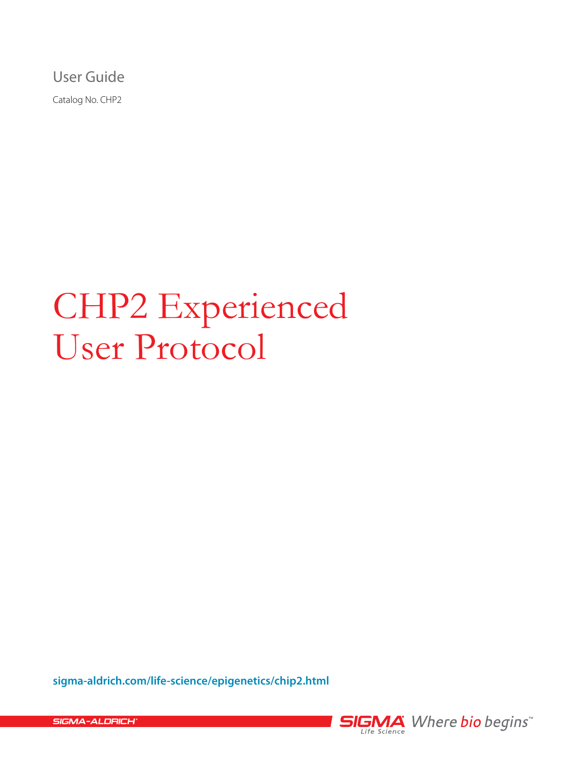User Guide

Catalog No. CHP2

# CHP2 Experienced User Protocol

**[sigma-aldrich.com/life-science/epigenetics/chip2.html](http://www.sigmaaldrich.com/life-science/epigenetics/chip2.html)**



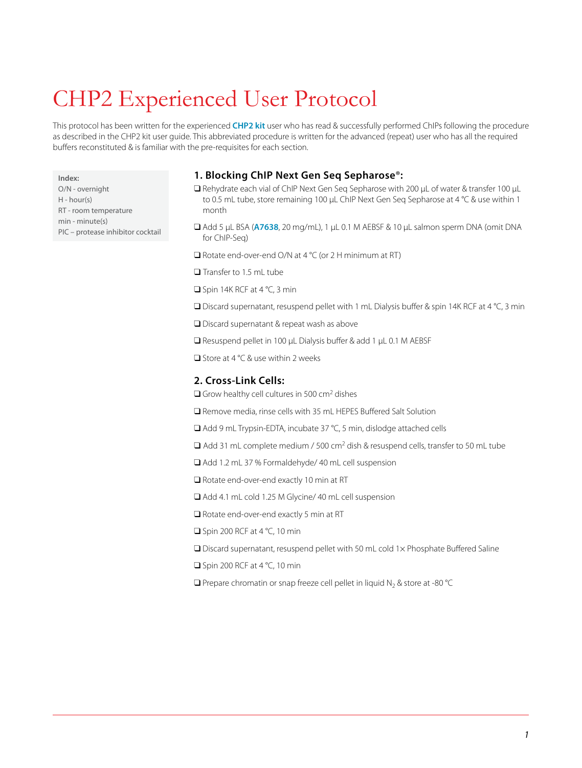# CHP2 Experienced User Protocol

This protocol has been written for the experienced **[CHP2 kit](http://www.sigmaaldrich.com/life-science/epigenetics/chip2.html)** user who has read & successfully performed ChIPs following the procedure as described in the CHP2 kit user guide. This abbreviated procedure is written for the advanced (repeat) user who has all the required buffers reconstituted & is familiar with the pre-requisites for each section.

**Index:**

O/N - overnight H - hour(s) RT - room temperature min - minute(s) PIC – protease inhibitor cocktail

# **1. Blocking ChIP Next Gen Seq Sepharose**®**:**

- q Rehydrate each vial of ChIP Next Gen Seq Sepharose with 200 μL of water & transfer 100 μL to 0.5 mL tube, store remaining 100 μL ChIP Next Gen Seg Sepharose at 4 °C & use within 1 month
- q Add 5 μL BSA (**[A7638](http://www.sigmaaldrich.com/catalog/ProductDetail.do?lang=en&N4=A7638|SIGMA&N5=SEARCH_CONCAT_PNO|BRAND_KEY&F=SPEC)**, 20 mg/mL), 1 μL 0.1 M AEBSF & 10 μL salmon sperm DNA (omit DNA for ChIP-Seq)
- $\Box$  Rotate end-over-end O/N at 4 °C (or 2 H minimum at RT)
- $\Box$  Transfer to 1.5 mL tube
- $\Box$  Spin 14K RCF at 4 °C, 3 min
- $\square$  Discard supernatant, resuspend pellet with 1 mL Dialysis buffer & spin 14K RCF at 4 °C, 3 min
- □ Discard supernatant & repeat wash as above
- q Resuspend pellet in 100 μL Dialysis buffer & add 1 μL 0.1 M AEBSF
- $\Box$  Store at 4 °C & use within 2 weeks

### **2. Cross-Link Cells:**

- $\Box$  Grow healthy cell cultures in 500 cm<sup>2</sup> dishes
- q Remove media, rinse cells with 35 mL HEPES Buffered Salt Solution
- □ Add 9 mL Trypsin-EDTA, incubate 37 °C, 5 min, dislodge attached cells
- $\Box$  Add 31 mL complete medium / 500 cm<sup>2</sup> dish & resuspend cells, transfer to 50 mL tube
- □ Add 1.2 mL 37 % Formaldehyde/ 40 mL cell suspension
- $\Box$  Rotate end-over-end exactly 10 min at RT
- q Add 4.1 mL cold 1.25 M Glycine/ 40 mL cell suspension
- $\Box$  Rotate end-over-end exactly 5 min at RT
- $\Box$  Spin 200 RCF at 4 °C, 10 min
- $\Box$  Discard supernatant, resuspend pellet with 50 mL cold 1 $\times$  Phosphate Buffered Saline
- $\Box$  Spin 200 RCF at 4 °C, 10 min
- $\Box$  Prepare chromatin or snap freeze cell pellet in liquid N<sub>2</sub> & store at -80 °C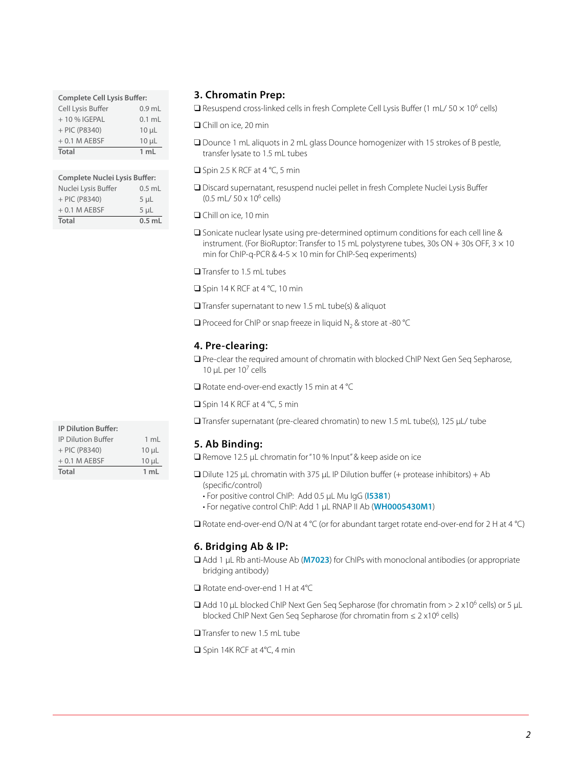| <b>Complete Cell Lysis Buffer:</b> |                |  |
|------------------------------------|----------------|--|
| Cell Lysis Buffer                  | $0.9$ mL       |  |
| + 10 % IGEPAL                      | $0.1$ ml       |  |
| $+$ PIC (P8340)                    | $10 \mu L$     |  |
| $+0.1$ M AEBSF                     | $10 \mu L$     |  |
| <b>Total</b>                       | $1 \text{ ml}$ |  |

| <b>Complete Nuclei Lysis Buffer:</b> |                |  |
|--------------------------------------|----------------|--|
| Nuclei Lysis Buffer                  | $0.5$ mL       |  |
| $+$ PIC (P8340)                      | 5 <sub>µ</sub> |  |
| $+0.1$ M AEBSF                       | 5 <sub>µ</sub> |  |
| Total                                | $0.5$ mL       |  |

## **3. Chromatin Prep:**

 $\Box$  Resuspend cross-linked cells in fresh Complete Cell Lysis Buffer (1 mL/ 50  $\times$  10<sup>6</sup> cells)

**□** Chill on ice, 20 min

- □ Dounce 1 mL aliquots in 2 mL glass Dounce homogenizer with 15 strokes of B pestle, transfer lysate to 1.5 mL tubes
- $\Box$  Spin 2.5 K RCF at 4 °C, 5 min
- q Discard supernatant, resuspend nuclei pellet in fresh Complete Nuclei Lysis Buffer (0.5 mL/ 50 x 106 cells)

**□** Chill on ice, 10 min

 $\square$  Sonicate nuclear lysate using pre-determined optimum conditions for each cell line & instrument. (For BioRuptor: Transfer to 15 mL polystyrene tubes, 30s ON + 30s OFF,  $3 \times 10$ min for ChIP-q-PCR &  $4-5 \times 10$  min for ChIP-Seq experiments)

Transfer to 1.5 mL tubes

 $\Box$  Spin 14 K RCF at 4 °C, 10 min

 $\Box$  Transfer supernatant to new 1.5 mL tube(s) & aliquot

 $\Box$  Proceed for ChIP or snap freeze in liquid N<sub>2</sub> & store at -80 °C

#### **4. Pre-clearing:**

**Q** Pre-clear the required amount of chromatin with blocked ChIP Next Gen Seq Sepharose, 10 μL per  $10<sup>7</sup>$  cells

 $\Box$  Rotate end-over-end exactly 15 min at 4 °C

 $\Box$  Spin 14 K RCF at 4 °C, 5 min

q Transfer supernatant (pre-cleared chromatin) to new 1.5 mL tube(s), 125 μL/ tube

#### **5. Ab Binding:**

q Remove 12.5 μL chromatin for "10 % Input" & keep aside on ice

- $\Box$  Dilute 125 μL chromatin with 375 μL IP Dilution buffer (+ protease inhibitors) + Ab (specific/control)
	- For positive control ChIP: Add 0.5 μL Mu IgG (**[I5381](http://www.sigmaaldrich.com/catalog/ProductDetail.do?lang=en&N4=I5381|SIGMA&N5=SEARCH_CONCAT_PNO|BRAND_KEY&F=SPEC)**)
	- For negative control ChIP: Add 1 μL RNAP II Ab (**[WH0005430M1](http://www.sigmaaldrich.com/catalog/ProductDetail.do?lang=en&N4=WH0005430M1|SIGMA&N5=SEARCH_CONCAT_PNO|BRAND_KEY&F=SPEC)**)

 $\Box$  Rotate end-over-end O/N at 4 °C (or for abundant target rotate end-over-end for 2 H at 4 °C)

#### **6. Bridging Ab & IP:**

- q Add 1 μL Rb anti-Mouse Ab (**[M7023](http://www.sigmaaldrich.com/catalog/ProductDetail.do?lang=en&N4=M7023|SIGMA&N5=SEARCH_CONCAT_PNO|BRAND_KEY&F=SPEC)**) for ChIPs with monoclonal antibodies (or appropriate bridging antibody)
- $\Box$  Rotate end-over-end 1 H at 4°C
- $\Box$  Add 10 μL blocked ChIP Next Gen Seq Sepharose (for chromatin from > 2 x10<sup>6</sup> cells) or 5 μL blocked ChIP Next Gen Seq Sepharose (for chromatin from  $\leq 2 \times 10^6$  cells)

 $\Box$  Transfer to new 1.5 mL tube

 $\Box$  Spin 14K RCF at 4°C, 4 min

| $1 \text{ ml}$  |
|-----------------|
| $10 \mu L$      |
| $10\mu$ L       |
| 1 <sub>m1</sub> |
|                 |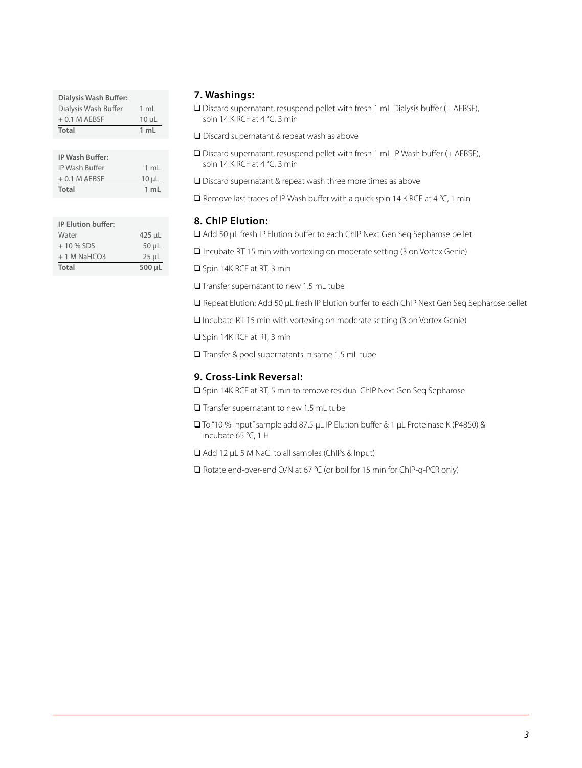| Dialysis Wash Buffer: |                |
|-----------------------|----------------|
| Dialysis Wash Buffer  | $1 \text{ ml}$ |
| $+0.1$ M AEBSF        | $10 \mu L$     |
|                       |                |
| Total                 | 1 ml           |
|                       |                |

| <b>IP Wash Buffer:</b> |            |
|------------------------|------------|
| IP Wash Buffer         | 1 mL       |
| $+0.1$ M AEBSF         | $10 \mu L$ |
| Total                  | 1 mL       |

| <b>IP Elution buffer:</b> |            |
|---------------------------|------------|
| Water                     | $425$ µL   |
| $+10\%$ SDS               | $50 \mu L$ |
| $+1$ M NaHCO3             | $25 \mu L$ |
| <b>Total</b>              | 500 µL     |

#### **7. Washings:**

q Discard supernatant, resuspend pellet with fresh 1 mL Dialysis buffer (+ AEBSF), spin 14 K RCF at 4 °C, 3 min

 $\Box$  Discard supernatant & repeat wash as above

- □ Discard supernatant, resuspend pellet with fresh 1 mL IP Wash buffer (+ AEBSF), spin 14 K RCF at 4 °C, 3 min
- $\square$  Discard supernatant & repeat wash three more times as above

 $\square$  Remove last traces of IP Wash buffer with a quick spin 14 K RCF at 4 °C, 1 min

#### **8. ChIP Elution:**

q Add 50 μL fresh IP Elution buffer to each ChIP Next Gen Seq Sepharose pellet

 $\Box$  Incubate RT 15 min with vortexing on moderate setting (3 on Vortex Genie)

**Q** Spin 14K RCF at RT, 3 min

 $\Box$  Transfer supernatant to new 1.5 mL tube

q Repeat Elution: Add 50 μL fresh IP Elution buffer to each ChIP Next Gen Seq Sepharose pellet

 $\Box$  Incubate RT 15 min with vortexing on moderate setting (3 on Vortex Genie)

□ Spin 14K RCF at RT, 3 min

 $\square$  Transfer & pool supernatants in same 1.5 mL tube

#### **9. Cross-Link Reversal:**

□ Spin 14K RCF at RT, 5 min to remove residual ChIP Next Gen Seq Sepharose

 $\Box$  Transfer supernatant to new 1.5 mL tube

- q To "10 % Input" sample add 87.5 μL IP Elution buffer & 1 μL Proteinase K (P4850) & incubate 65 °C, 1 H
- q Add 12 μL 5 M NaCl to all samples (ChIPs & Input)

□ Rotate end-over-end O/N at 67 °C (or boil for 15 min for ChIP-q-PCR only)